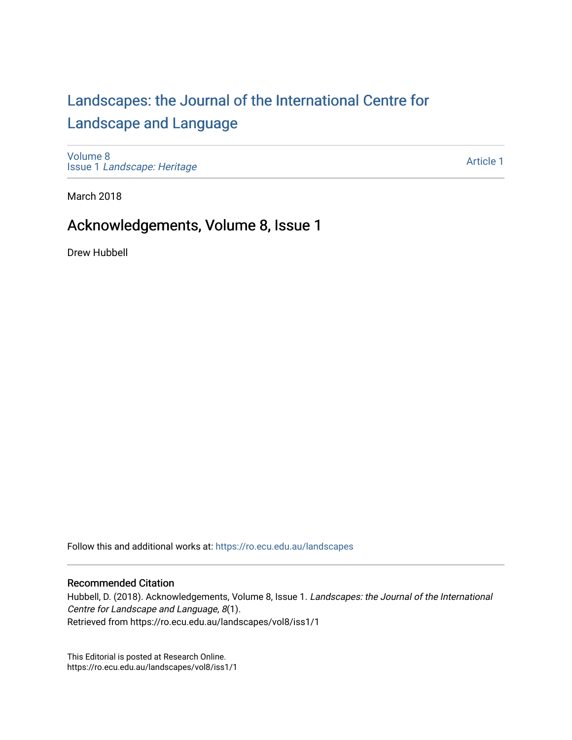## [Landscapes: the Journal of the International Centre for](https://ro.ecu.edu.au/landscapes) [Landscape and Language](https://ro.ecu.edu.au/landscapes)

[Volume 8](https://ro.ecu.edu.au/landscapes/vol8) Issue 1 [Landscape: Heritage](https://ro.ecu.edu.au/landscapes/vol8/iss1)

[Article 1](https://ro.ecu.edu.au/landscapes/vol8/iss1/1) 

March 2018

## Acknowledgements, Volume 8, Issue 1

Drew Hubbell

Follow this and additional works at: [https://ro.ecu.edu.au/landscapes](https://ro.ecu.edu.au/landscapes?utm_source=ro.ecu.edu.au%2Flandscapes%2Fvol8%2Fiss1%2F1&utm_medium=PDF&utm_campaign=PDFCoverPages) 

## Recommended Citation

Hubbell, D. (2018). Acknowledgements, Volume 8, Issue 1. Landscapes: the Journal of the International Centre for Landscape and Language, 8(1). Retrieved from https://ro.ecu.edu.au/landscapes/vol8/iss1/1

This Editorial is posted at Research Online. https://ro.ecu.edu.au/landscapes/vol8/iss1/1